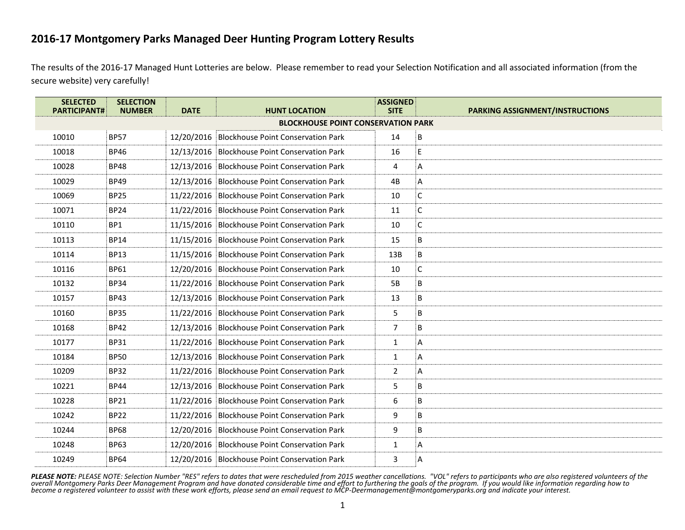The results of the 2016-17 Managed Hunt Lotteries are below. Please remember to read your Selection Notification and all associated information (from the [secure website\)](http://www.montgomeryparks.org/PPSD/Natural_Resources_Stewardship/Deer_Management/login_page_new.shtm) very carefully!

| <b>SELECTED</b><br><b>PARTICIPANT#</b> | <b>SELECTION</b><br><b>NUMBER</b> | <b>DATE</b> | <b>HUNT LOCATION</b>                          | <b>ASSIGNED</b><br><b>SITE</b> | <b>PARKING ASSIGNMENT/INSTRUCTIONS</b> |
|----------------------------------------|-----------------------------------|-------------|-----------------------------------------------|--------------------------------|----------------------------------------|
|                                        |                                   |             | <b>BLOCKHOUSE POINT CONSERVATION PARK</b>     |                                |                                        |
| 10010                                  | <b>BP57</b>                       |             | 12/20/2016 Blockhouse Point Conservation Park | 14                             | В                                      |
| 10018                                  | <b>BP46</b>                       |             | 12/13/2016 Blockhouse Point Conservation Park | 16                             | E                                      |
| 10028                                  | <b>BP48</b>                       |             | 12/13/2016 Blockhouse Point Conservation Park | 4                              | А                                      |
| 10029                                  | <b>BP49</b>                       |             | 12/13/2016 Blockhouse Point Conservation Park | 4B                             | А                                      |
| 10069                                  | <b>BP25</b>                       |             | 11/22/2016 Blockhouse Point Conservation Park | 10                             | С                                      |
| 10071                                  | <b>BP24</b>                       |             | 11/22/2016 Blockhouse Point Conservation Park | 11                             | C                                      |
| 10110                                  | BP1                               |             | 11/15/2016 Blockhouse Point Conservation Park | 10                             | C                                      |
| 10113                                  | <b>BP14</b>                       |             | 11/15/2016 Blockhouse Point Conservation Park | 15                             | В                                      |
| 10114                                  | <b>BP13</b>                       |             | 11/15/2016 Blockhouse Point Conservation Park | 13B                            | B                                      |
| 10116                                  | <b>BP61</b>                       |             | 12/20/2016 Blockhouse Point Conservation Park | 10                             | C                                      |
| 10132                                  | <b>BP34</b>                       |             | 11/22/2016 Blockhouse Point Conservation Park | 5B                             | B                                      |
| 10157                                  | <b>BP43</b>                       |             | 12/13/2016 Blockhouse Point Conservation Park | 13                             | B                                      |
| 10160                                  | <b>BP35</b>                       |             | 11/22/2016 Blockhouse Point Conservation Park | 5                              | B                                      |
| 10168                                  | <b>BP42</b>                       |             | 12/13/2016 Blockhouse Point Conservation Park | $\overline{7}$                 | B                                      |
| 10177                                  | <b>BP31</b>                       |             | 11/22/2016 Blockhouse Point Conservation Park | $\mathbf{1}$                   | А                                      |
| 10184                                  | <b>BP50</b>                       |             | 12/13/2016 Blockhouse Point Conservation Park | $\mathbf{1}$                   | А                                      |
| 10209                                  | <b>BP32</b>                       |             | 11/22/2016 Blockhouse Point Conservation Park | $\overline{2}$                 | A                                      |
| 10221                                  | <b>BP44</b>                       |             | 12/13/2016 Blockhouse Point Conservation Park | 5                              | B                                      |
| 10228                                  | <b>BP21</b>                       |             | 11/22/2016 Blockhouse Point Conservation Park | 6                              | B                                      |
| 10242                                  | <b>BP22</b>                       |             | 11/22/2016 Blockhouse Point Conservation Park | 9                              | B                                      |
| 10244                                  | <b>BP68</b>                       |             | 12/20/2016 Blockhouse Point Conservation Park | 9                              | B                                      |
| 10248                                  | <b>BP63</b>                       |             | 12/20/2016 Blockhouse Point Conservation Park | 1                              | А                                      |
| 10249                                  | <b>BP64</b>                       |             | 12/20/2016 Blockhouse Point Conservation Park | 3                              | Α                                      |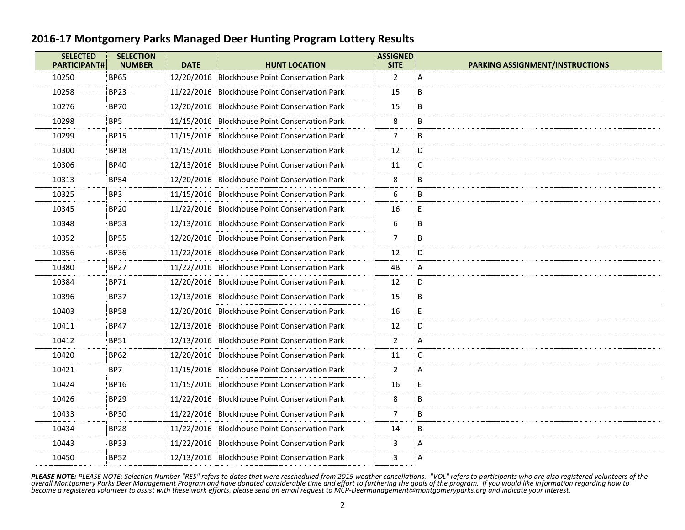| <b>SELECTED</b><br><b>PARTICIPANT#</b> | <b>SELECTION</b><br><b>NUMBER</b> | <b>DATE</b> | <b>HUNT LOCATION</b>                          | <b>ASSIGNED</b><br><b>SITE</b> | <b>PARKING ASSIGNMENT/INSTRUCTIONS</b> |
|----------------------------------------|-----------------------------------|-------------|-----------------------------------------------|--------------------------------|----------------------------------------|
| 10250                                  | <b>BP65</b>                       |             | 12/20/2016 Blockhouse Point Conservation Park | $\overline{2}$                 | A                                      |
| 10258                                  | BP23                              |             | 11/22/2016 Blockhouse Point Conservation Park | 15                             | B                                      |
| 10276                                  | <b>BP70</b>                       |             | 12/20/2016 Blockhouse Point Conservation Park | 15                             | В                                      |
| 10298                                  | BP5                               |             | 11/15/2016 Blockhouse Point Conservation Park | 8                              | B                                      |
| 10299                                  | <b>BP15</b>                       |             | 11/15/2016 Blockhouse Point Conservation Park | $\overline{7}$                 | B                                      |
| 10300                                  | <b>BP18</b>                       |             | 11/15/2016 Blockhouse Point Conservation Park | 12                             | D                                      |
| 10306                                  | <b>BP40</b>                       |             | 12/13/2016 Blockhouse Point Conservation Park | 11                             | C                                      |
| 10313                                  | <b>BP54</b>                       |             | 12/20/2016 Blockhouse Point Conservation Park | 8                              | B                                      |
| 10325                                  | BP3                               |             | 11/15/2016 Blockhouse Point Conservation Park | 6                              | B                                      |
| 10345                                  | <b>BP20</b>                       |             | 11/22/2016 Blockhouse Point Conservation Park | 16                             | E                                      |
| 10348                                  | <b>BP53</b>                       |             | 12/13/2016 Blockhouse Point Conservation Park | 6                              | B                                      |
| 10352                                  | <b>BP55</b>                       |             | 12/20/2016 Blockhouse Point Conservation Park | $\overline{7}$                 | B                                      |
| 10356                                  | <b>BP36</b>                       |             | 11/22/2016 Blockhouse Point Conservation Park | 12                             | D                                      |
| 10380                                  | <b>BP27</b>                       |             | 11/22/2016 Blockhouse Point Conservation Park | 4B                             | А                                      |
| 10384                                  | <b>BP71</b>                       |             | 12/20/2016 Blockhouse Point Conservation Park | 12                             | D                                      |
| 10396                                  | <b>BP37</b>                       |             | 12/13/2016 Blockhouse Point Conservation Park | 15                             | B                                      |
| 10403                                  | <b>BP58</b>                       |             | 12/20/2016 Blockhouse Point Conservation Park | 16                             | $\mathsf E$                            |
| 10411                                  | <b>BP47</b>                       |             | 12/13/2016 Blockhouse Point Conservation Park | 12                             | D                                      |
| 10412                                  | <b>BP51</b>                       |             | 12/13/2016 Blockhouse Point Conservation Park | $\overline{2}$                 | А                                      |
| 10420                                  | <b>BP62</b>                       |             | 12/20/2016 Blockhouse Point Conservation Park | 11                             | C                                      |
| 10421                                  | BP7                               |             | 11/15/2016 Blockhouse Point Conservation Park | $\overline{2}$                 | Α                                      |
| 10424                                  | <b>BP16</b>                       |             | 11/15/2016 Blockhouse Point Conservation Park | 16                             | E                                      |
| 10426                                  | <b>BP29</b>                       |             | 11/22/2016 Blockhouse Point Conservation Park | 8                              | B                                      |
| 10433                                  | <b>BP30</b>                       |             | 11/22/2016 Blockhouse Point Conservation Park | 7                              | B                                      |
| 10434                                  | <b>BP28</b>                       |             | 11/22/2016 Blockhouse Point Conservation Park | 14                             | B                                      |
| 10443                                  | <b>BP33</b>                       |             | 11/22/2016 Blockhouse Point Conservation Park | 3                              | А                                      |
| 10450                                  | <b>BP52</b>                       |             | 12/13/2016 Blockhouse Point Conservation Park | 3                              | А                                      |
|                                        |                                   |             |                                               |                                |                                        |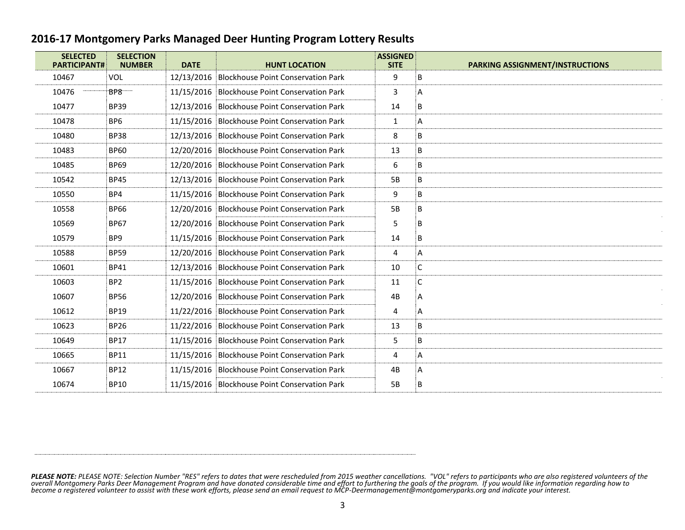| <b>SELECTED</b><br><b>PARTICIPANT#</b> | <b>SELECTION</b><br><b>NUMBER</b> | <b>DATE</b> | <b>HUNT LOCATION</b>                          | <b>ASSIGNED</b><br><b>SITE</b> | <b>PARKING ASSIGNMENT/INSTRUCTIONS</b> |
|----------------------------------------|-----------------------------------|-------------|-----------------------------------------------|--------------------------------|----------------------------------------|
| 10467                                  | VOL                               | 12/13/2016  | <b>Blockhouse Point Conservation Park</b>     | 9                              | B                                      |
| 10476                                  | BP8                               |             | 11/15/2016 Blockhouse Point Conservation Park | 3                              | Α                                      |
| 10477                                  | <b>BP39</b>                       |             | 12/13/2016 Blockhouse Point Conservation Park | 14                             | B                                      |
| 10478                                  | BP <sub>6</sub>                   |             | 11/15/2016 Blockhouse Point Conservation Park | 1                              | A                                      |
| 10480                                  | <b>BP38</b>                       |             | 12/13/2016 Blockhouse Point Conservation Park | 8                              | B                                      |
| 10483                                  | <b>BP60</b>                       |             | 12/20/2016 Blockhouse Point Conservation Park | 13                             | B                                      |
| 10485                                  | <b>BP69</b>                       |             | 12/20/2016 Blockhouse Point Conservation Park | 6                              | B                                      |
| 10542                                  | <b>BP45</b>                       |             | 12/13/2016 Blockhouse Point Conservation Park | 5B                             | B                                      |
| 10550                                  | BP4                               |             | 11/15/2016 Blockhouse Point Conservation Park | 9                              | B                                      |
| 10558                                  | <b>BP66</b>                       |             | 12/20/2016 Blockhouse Point Conservation Park | 5B                             | B                                      |
| 10569                                  | <b>BP67</b>                       |             | 12/20/2016 Blockhouse Point Conservation Park | 5                              | B                                      |
| 10579                                  | BP <sub>9</sub>                   |             | 11/15/2016 Blockhouse Point Conservation Park | 14                             | B                                      |
| 10588                                  | <b>BP59</b>                       | 12/20/2016  | <b>Blockhouse Point Conservation Park</b>     | 4                              | А                                      |
| 10601                                  | <b>BP41</b>                       |             | 12/13/2016 Blockhouse Point Conservation Park | 10                             | С                                      |
| 10603                                  | BP <sub>2</sub>                   |             | 11/15/2016 Blockhouse Point Conservation Park | 11                             | C                                      |
| 10607                                  | <b>BP56</b>                       |             | 12/20/2016 Blockhouse Point Conservation Park | 4B                             | A                                      |
| 10612                                  | <b>BP19</b>                       |             | 11/22/2016 Blockhouse Point Conservation Park | 4                              | А                                      |
| 10623                                  | <b>BP26</b>                       |             | 11/22/2016 Blockhouse Point Conservation Park | 13                             | B                                      |
| 10649                                  | <b>BP17</b>                       |             | 11/15/2016 Blockhouse Point Conservation Park | 5                              | В                                      |
| 10665                                  | <b>BP11</b>                       |             | 11/15/2016 Blockhouse Point Conservation Park | 4                              | A                                      |
| 10667                                  | <b>BP12</b>                       |             | 11/15/2016 Blockhouse Point Conservation Park | 4B                             | А                                      |
| 10674                                  | <b>BP10</b>                       |             | 11/15/2016 Blockhouse Point Conservation Park | 5B                             | B                                      |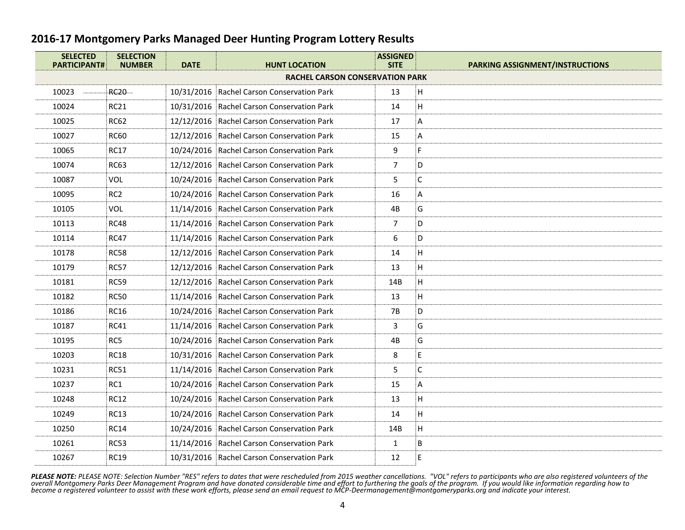| <b>SELECTED</b><br><b>PARTICIPANT#</b> | <b>SELECTION</b><br><b>NUMBER</b> | <b>DATE</b> | <b>HUNT LOCATION</b>                       | <b>ASSIGNED</b><br><b>SITE</b> | <b>PARKING ASSIGNMENT/INSTRUCTIONS</b> |
|----------------------------------------|-----------------------------------|-------------|--------------------------------------------|--------------------------------|----------------------------------------|
|                                        |                                   |             | <b>RACHEL CARSON CONSERVATION PARK</b>     |                                |                                        |
| 10023                                  | <b>RC20</b>                       |             | 10/31/2016 Rachel Carson Conservation Park | 13                             | Н                                      |
| 10024                                  | <b>RC21</b>                       |             | 10/31/2016 Rachel Carson Conservation Park | 14                             | н                                      |
| 10025                                  | <b>RC62</b>                       |             | 12/12/2016 Rachel Carson Conservation Park | 17                             | Α                                      |
| 10027                                  | <b>RC60</b>                       |             | 12/12/2016 Rachel Carson Conservation Park | 15                             | Α                                      |
| 10065                                  | <b>RC17</b>                       |             | 10/24/2016 Rachel Carson Conservation Park | 9                              | F                                      |
| 10074                                  | <b>RC63</b>                       |             | 12/12/2016 Rachel Carson Conservation Park | 7                              | D                                      |
| 10087                                  | <b>VOL</b>                        |             | 10/24/2016 Rachel Carson Conservation Park | 5                              | $\mathsf{C}$                           |
| 10095                                  | RC <sub>2</sub>                   |             | 10/24/2016 Rachel Carson Conservation Park | 16                             | Α                                      |
| 10105                                  | <b>VOL</b>                        |             | 11/14/2016 Rachel Carson Conservation Park | 4B                             | G                                      |
| 10113                                  | <b>RC48</b>                       |             | 11/14/2016 Rachel Carson Conservation Park | 7                              | D                                      |
| 10114                                  | <b>RC47</b>                       |             | 11/14/2016 Rachel Carson Conservation Park | 6                              | D                                      |
| 10178                                  | <b>RC58</b>                       |             | 12/12/2016 Rachel Carson Conservation Park | 14                             | н                                      |
| 10179                                  | <b>RC57</b>                       |             | 12/12/2016 Rachel Carson Conservation Park | 13                             | Н                                      |
| 10181                                  | <b>RC59</b>                       |             | 12/12/2016 Rachel Carson Conservation Park | 14B                            | H                                      |
| 10182                                  | <b>RC50</b>                       |             | 11/14/2016 Rachel Carson Conservation Park | 13                             | Н                                      |
| 10186                                  | <b>RC16</b>                       |             | 10/24/2016 Rachel Carson Conservation Park | 7B                             | D                                      |
| 10187                                  | <b>RC41</b>                       |             | 11/14/2016 Rachel Carson Conservation Park | 3                              | G                                      |
| 10195                                  | RC5                               |             | 10/24/2016 Rachel Carson Conservation Park | 4B                             | G                                      |
| 10203                                  | <b>RC18</b>                       |             | 10/31/2016 Rachel Carson Conservation Park | 8                              | E                                      |
| 10231                                  | <b>RC51</b>                       |             | 11/14/2016 Rachel Carson Conservation Park | 5                              | С                                      |
| 10237                                  | RC1                               |             | 10/24/2016 Rachel Carson Conservation Park | 15                             | А                                      |
| 10248                                  | <b>RC12</b>                       |             | 10/24/2016 Rachel Carson Conservation Park | 13                             | н                                      |
| 10249                                  | <b>RC13</b>                       |             | 10/24/2016 Rachel Carson Conservation Park | 14                             | H.                                     |
| 10250                                  | <b>RC14</b>                       |             | 10/24/2016 Rachel Carson Conservation Park | 14B                            | H                                      |
| 10261                                  | <b>RC53</b>                       |             | 11/14/2016 Rachel Carson Conservation Park | $\mathbf{1}$                   | B                                      |
| 10267                                  | <b>RC19</b>                       |             | 10/31/2016 Rachel Carson Conservation Park | 12                             | E                                      |
|                                        |                                   |             |                                            |                                |                                        |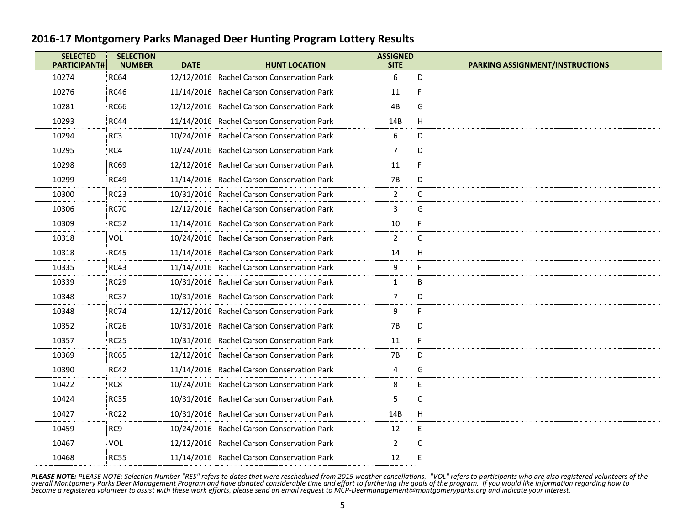| <b>SELECTED</b><br><b>PARTICIPANT#</b> | <b>SELECTION</b><br><b>NUMBER</b> | <b>DATE</b> | <b>HUNT LOCATION</b>                       | <b>ASSIGNED</b><br><b>SITE</b> | <b>PARKING ASSIGNMENT/INSTRUCTIONS</b> |
|----------------------------------------|-----------------------------------|-------------|--------------------------------------------|--------------------------------|----------------------------------------|
| 10274                                  | <b>RC64</b>                       |             | 12/12/2016 Rachel Carson Conservation Park | 6                              | D                                      |
| 10276                                  | <b>RC46</b>                       |             | 11/14/2016 Rachel Carson Conservation Park | 11                             | F                                      |
| 10281                                  | <b>RC66</b>                       |             | 12/12/2016 Rachel Carson Conservation Park | 4B                             | G                                      |
| 10293                                  | RC44                              |             | 11/14/2016 Rachel Carson Conservation Park | 14B                            | H                                      |
| 10294                                  | RC <sub>3</sub>                   |             | 10/24/2016 Rachel Carson Conservation Park | 6                              | D                                      |
| 10295                                  | RC4                               |             | 10/24/2016 Rachel Carson Conservation Park | $\overline{7}$                 | D                                      |
| 10298                                  | <b>RC69</b>                       |             | 12/12/2016 Rachel Carson Conservation Park | 11                             | F                                      |
| 10299                                  | <b>RC49</b>                       |             | 11/14/2016 Rachel Carson Conservation Park | 7B                             | D                                      |
| 10300                                  | <b>RC23</b>                       |             | 10/31/2016 Rachel Carson Conservation Park | $\overline{2}$                 | С                                      |
| 10306                                  | <b>RC70</b>                       |             | 12/12/2016 Rachel Carson Conservation Park | 3                              | G                                      |
| 10309                                  | <b>RC52</b>                       |             | 11/14/2016 Rachel Carson Conservation Park | 10                             | F.                                     |
| 10318                                  | VOL                               |             | 10/24/2016 Rachel Carson Conservation Park | $\overline{2}$                 | С                                      |
| 10318                                  | <b>RC45</b>                       |             | 11/14/2016 Rachel Carson Conservation Park | 14                             | H                                      |
| 10335                                  | <b>RC43</b>                       |             | 11/14/2016 Rachel Carson Conservation Park | 9                              | F.                                     |
| 10339                                  | <b>RC29</b>                       |             | 10/31/2016 Rachel Carson Conservation Park | $\mathbf{1}$                   | B                                      |
| 10348                                  | <b>RC37</b>                       |             | 10/31/2016 Rachel Carson Conservation Park | 7                              | D                                      |
| 10348                                  | <b>RC74</b>                       |             | 12/12/2016 Rachel Carson Conservation Park | 9                              | F                                      |
| 10352                                  | <b>RC26</b>                       |             | 10/31/2016 Rachel Carson Conservation Park | 7B                             | D                                      |
| 10357                                  | <b>RC25</b>                       |             | 10/31/2016 Rachel Carson Conservation Park | 11                             | F                                      |
| 10369                                  | <b>RC65</b>                       |             | 12/12/2016 Rachel Carson Conservation Park | 7B                             | D                                      |
| 10390                                  | <b>RC42</b>                       |             | 11/14/2016 Rachel Carson Conservation Park | 4                              | G                                      |
| 10422                                  | RC <sub>8</sub>                   |             | 10/24/2016 Rachel Carson Conservation Park | 8                              | E                                      |
| 10424                                  | <b>RC35</b>                       |             | 10/31/2016 Rachel Carson Conservation Park | 5                              | С                                      |
| 10427                                  | <b>RC22</b>                       |             | 10/31/2016 Rachel Carson Conservation Park | 14B                            | H                                      |
| 10459                                  | RC <sub>9</sub>                   |             | 10/24/2016 Rachel Carson Conservation Park | 12                             | E                                      |
| 10467                                  | VOL                               |             | 12/12/2016 Rachel Carson Conservation Park | $\overline{2}$                 | С                                      |
| 10468                                  | <b>RC55</b>                       |             | 11/14/2016 Rachel Carson Conservation Park | 12                             | E                                      |
|                                        |                                   |             |                                            |                                |                                        |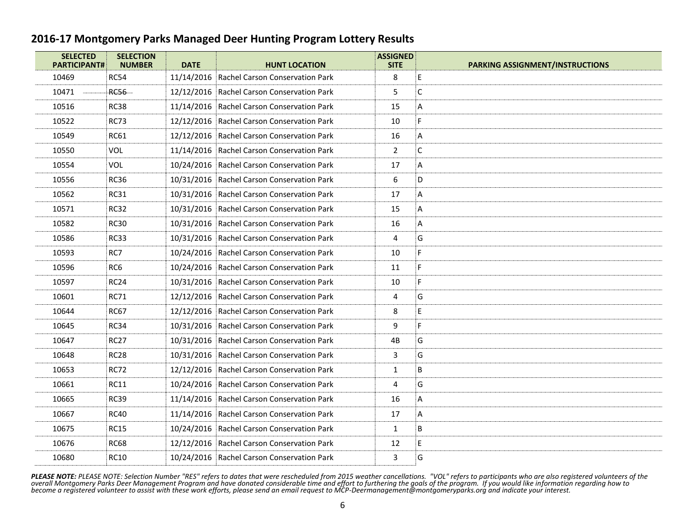| <b>SELECTED</b><br><b>PARTICIPANT#</b> | <b>SELECTION</b><br><b>NUMBER</b> | <b>DATE</b> | <b>HUNT LOCATION</b>                       | <b>ASSIGNED</b><br><b>SITE</b> | <b>PARKING ASSIGNMENT/INSTRUCTIONS</b> |
|----------------------------------------|-----------------------------------|-------------|--------------------------------------------|--------------------------------|----------------------------------------|
| 10469                                  | <b>RC54</b>                       |             | 11/14/2016 Rachel Carson Conservation Park | 8                              | E                                      |
| 10471                                  | <b>RC56</b>                       |             | 12/12/2016 Rachel Carson Conservation Park | 5                              | C                                      |
| 10516                                  | <b>RC38</b>                       |             | 11/14/2016 Rachel Carson Conservation Park | 15                             | Α                                      |
| 10522                                  | RC73                              |             | 12/12/2016 Rachel Carson Conservation Park | 10                             | F                                      |
| 10549                                  | <b>RC61</b>                       |             | 12/12/2016 Rachel Carson Conservation Park | 16                             | А                                      |
| 10550                                  | VOL                               |             | 11/14/2016 Rachel Carson Conservation Park | $\overline{2}$                 | С                                      |
| 10554                                  | VOL                               |             | 10/24/2016 Rachel Carson Conservation Park | 17                             | Α                                      |
| 10556                                  | <b>RC36</b>                       |             | 10/31/2016 Rachel Carson Conservation Park | 6                              | D                                      |
| 10562                                  | <b>RC31</b>                       |             | 10/31/2016 Rachel Carson Conservation Park | 17                             | Α                                      |
| 10571                                  | <b>RC32</b>                       |             | 10/31/2016 Rachel Carson Conservation Park | 15                             | Α                                      |
| 10582                                  | <b>RC30</b>                       |             | 10/31/2016 Rachel Carson Conservation Park | 16                             | A                                      |
| 10586                                  | <b>RC33</b>                       |             | 10/31/2016 Rachel Carson Conservation Park | 4                              | G                                      |
| 10593                                  | RC7                               |             | 10/24/2016 Rachel Carson Conservation Park | 10                             | F                                      |
| 10596                                  | RC6                               |             | 10/24/2016 Rachel Carson Conservation Park | 11                             | F                                      |
| 10597                                  | <b>RC24</b>                       |             | 10/31/2016 Rachel Carson Conservation Park | 10                             | F                                      |
| 10601                                  | <b>RC71</b>                       |             | 12/12/2016 Rachel Carson Conservation Park | 4                              | G                                      |
| 10644                                  | <b>RC67</b>                       |             | 12/12/2016 Rachel Carson Conservation Park | 8                              | E                                      |
| 10645                                  | <b>RC34</b>                       |             | 10/31/2016 Rachel Carson Conservation Park | 9                              | F                                      |
| 10647                                  | <b>RC27</b>                       |             | 10/31/2016 Rachel Carson Conservation Park | 4B                             | G                                      |
| 10648                                  | <b>RC28</b>                       |             | 10/31/2016 Rachel Carson Conservation Park | 3                              | G                                      |
| 10653                                  | <b>RC72</b>                       |             | 12/12/2016 Rachel Carson Conservation Park | 1                              | B                                      |
| 10661                                  | <b>RC11</b>                       |             | 10/24/2016 Rachel Carson Conservation Park | 4                              | G                                      |
| 10665                                  | <b>RC39</b>                       |             | 11/14/2016 Rachel Carson Conservation Park | 16                             | Α                                      |
| 10667                                  | <b>RC40</b>                       |             | 11/14/2016 Rachel Carson Conservation Park | 17                             | Α                                      |
| 10675                                  | <b>RC15</b>                       |             | 10/24/2016 Rachel Carson Conservation Park | $\mathbf{1}$                   | B                                      |
| 10676                                  | <b>RC68</b>                       |             | 12/12/2016 Rachel Carson Conservation Park | 12                             | E                                      |
| 10680                                  | <b>RC10</b>                       |             | 10/24/2016 Rachel Carson Conservation Park | 3                              | G                                      |
|                                        |                                   |             |                                            |                                |                                        |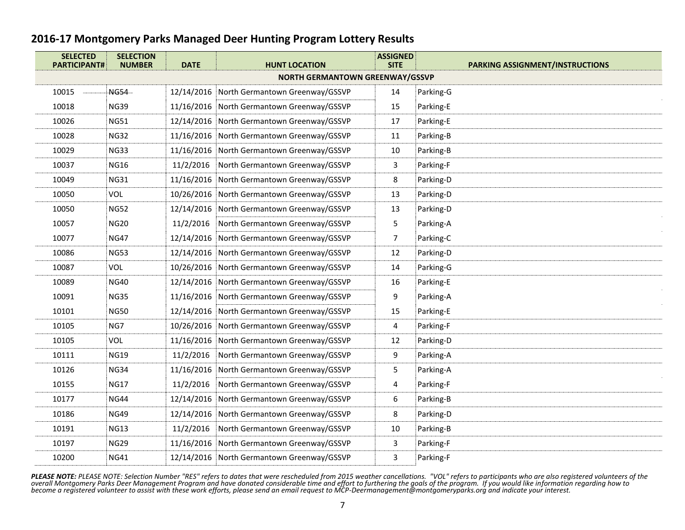| <b>SELECTED</b><br><b>PARTICIPANT#</b> | <b>SELECTION</b><br><b>NUMBER</b> | <b>DATE</b> | <b>HUNT LOCATION</b>                       | <b>ASSIGNED</b><br><b>SITE</b> | <b>PARKING ASSIGNMENT/INSTRUCTIONS</b> |
|----------------------------------------|-----------------------------------|-------------|--------------------------------------------|--------------------------------|----------------------------------------|
|                                        |                                   |             | <b>NORTH GERMANTOWN GREENWAY/GSSVP</b>     |                                |                                        |
| 10015                                  | <b>NG54</b>                       | 12/14/2016  | North Germantown Greenway/GSSVP            | 14                             | Parking-G                              |
| 10018                                  | <b>NG39</b>                       |             | 11/16/2016 North Germantown Greenway/GSSVP | 15                             | Parking-E                              |
| 10026                                  | <b>NG51</b>                       |             | 12/14/2016 North Germantown Greenway/GSSVP | 17                             | Parking-E                              |
| 10028                                  | <b>NG32</b>                       |             | 11/16/2016 North Germantown Greenway/GSSVP | 11                             | Parking-B                              |
| 10029                                  | <b>NG33</b>                       |             | 11/16/2016 North Germantown Greenway/GSSVP | 10                             | Parking-B                              |
| 10037                                  | <b>NG16</b>                       | 11/2/2016   | North Germantown Greenway/GSSVP            | 3                              | Parking-F                              |
| 10049                                  | <b>NG31</b>                       |             | 11/16/2016 North Germantown Greenway/GSSVP | 8                              | Parking-D                              |
| 10050                                  | <b>VOL</b>                        | 10/26/2016  | North Germantown Greenway/GSSVP            | 13                             | Parking-D                              |
| 10050                                  | <b>NG52</b>                       | 12/14/2016  | North Germantown Greenway/GSSVP            | 13                             | Parking-D                              |
| 10057                                  | <b>NG20</b>                       | 11/2/2016   | North Germantown Greenway/GSSVP            | 5                              | Parking-A                              |
| 10077                                  | <b>NG47</b>                       | 12/14/2016  | North Germantown Greenway/GSSVP            | $\overline{7}$                 | Parking-C                              |
| 10086                                  | <b>NG53</b>                       | 12/14/2016  | North Germantown Greenway/GSSVP            | 12                             | Parking-D                              |
| 10087                                  | <b>VOL</b>                        |             | 10/26/2016 North Germantown Greenway/GSSVP | 14                             | Parking-G                              |
| 10089                                  | <b>NG40</b>                       |             | 12/14/2016 North Germantown Greenway/GSSVP | 16                             | Parking-E                              |
| 10091                                  | <b>NG35</b>                       | 11/16/2016  | North Germantown Greenway/GSSVP            | 9                              | Parking-A                              |
| 10101                                  | <b>NG50</b>                       |             | 12/14/2016 North Germantown Greenway/GSSVP | 15                             | Parking-E                              |
| 10105                                  | NG7                               |             | 10/26/2016 North Germantown Greenway/GSSVP | 4                              | Parking-F                              |
| 10105                                  | <b>VOL</b>                        | 11/16/2016  | North Germantown Greenway/GSSVP            | 12                             | Parking-D                              |
| 10111                                  | <b>NG19</b>                       | 11/2/2016   | North Germantown Greenway/GSSVP            | 9                              | Parking-A                              |
| 10126                                  | <b>NG34</b>                       | 11/16/2016  | North Germantown Greenway/GSSVP            | 5                              | Parking-A                              |
| 10155                                  | <b>NG17</b>                       | 11/2/2016   | North Germantown Greenway/GSSVP            | 4                              | Parking-F                              |
| 10177                                  | <b>NG44</b>                       | 12/14/2016  | North Germantown Greenway/GSSVP            | 6                              | Parking-B                              |
| 10186                                  | <b>NG49</b>                       | 12/14/2016  | North Germantown Greenway/GSSVP            | 8                              | Parking-D                              |
| 10191                                  | <b>NG13</b>                       | 11/2/2016   | North Germantown Greenway/GSSVP            | 10                             | Parking-B                              |
| 10197                                  | <b>NG29</b>                       |             | 11/16/2016 North Germantown Greenway/GSSVP | 3                              | Parking-F                              |
| 10200                                  | <b>NG41</b>                       |             | 12/14/2016 North Germantown Greenway/GSSVP | 3                              | Parking-F                              |
|                                        |                                   |             |                                            |                                |                                        |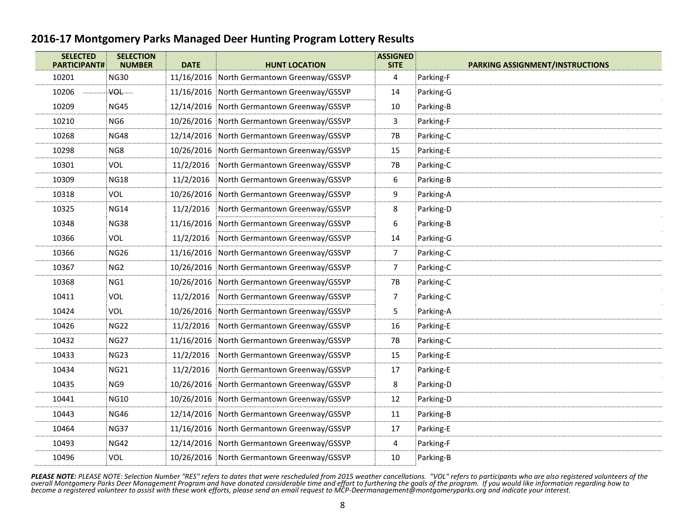| <b>SELECTED</b><br><b>PARTICIPANT#</b> | <b>SELECTION</b><br><b>NUMBER</b> | <b>DATE</b> | <b>HUNT LOCATION</b>                       | <b>ASSIGNED</b><br><b>SITE</b> | <b>PARKING ASSIGNMENT/INSTRUCTIONS</b> |
|----------------------------------------|-----------------------------------|-------------|--------------------------------------------|--------------------------------|----------------------------------------|
| 10201                                  | <b>NG30</b>                       |             | 11/16/2016 North Germantown Greenway/GSSVP | 4                              | Parking-F                              |
| 10206                                  | VOL-                              |             | 11/16/2016 North Germantown Greenway/GSSVP | 14                             | Parking-G                              |
| 10209                                  | <b>NG45</b>                       |             | 12/14/2016 North Germantown Greenway/GSSVP | 10                             | Parking-B                              |
| 10210                                  | NG <sub>6</sub>                   | 10/26/2016  | North Germantown Greenway/GSSVP            | 3                              | Parking-F                              |
| 10268                                  | <b>NG48</b>                       |             | 12/14/2016 North Germantown Greenway/GSSVP | <b>7B</b>                      | Parking-C                              |
| 10298                                  | NG8                               | 10/26/2016  | North Germantown Greenway/GSSVP            | 15                             | Parking-E                              |
| 10301                                  | VOL                               | 11/2/2016   | North Germantown Greenway/GSSVP            | 7B                             | Parking-C                              |
| 10309                                  | <b>NG18</b>                       | 11/2/2016   | North Germantown Greenway/GSSVP            | 6                              | Parking-B                              |
| 10318                                  | VOL                               | 10/26/2016  | North Germantown Greenway/GSSVP            | 9                              | Parking-A                              |
| 10325                                  | <b>NG14</b>                       | 11/2/2016   | North Germantown Greenway/GSSVP            | 8                              | Parking-D                              |
| 10348                                  | <b>NG38</b>                       | 11/16/2016  | North Germantown Greenway/GSSVP            | 6                              | Parking-B                              |
| 10366                                  | VOL                               | 11/2/2016   | North Germantown Greenway/GSSVP            | 14                             | Parking-G                              |
| 10366                                  | <b>NG26</b>                       | 11/16/2016  | North Germantown Greenway/GSSVP            | $\overline{7}$                 | Parking-C                              |
| 10367                                  | NG <sub>2</sub>                   |             | 10/26/2016 North Germantown Greenway/GSSVP | $\overline{7}$                 | Parking-C                              |
| 10368                                  | NG1                               |             | 10/26/2016 North Germantown Greenway/GSSVP | 7B                             | Parking-C                              |
| 10411                                  | VOL                               | 11/2/2016   | North Germantown Greenway/GSSVP            | $\overline{7}$                 | Parking-C                              |
| 10424                                  | VOL                               | 10/26/2016  | North Germantown Greenway/GSSVP            | 5                              | Parking-A                              |
| 10426                                  | <b>NG22</b>                       | 11/2/2016   | North Germantown Greenway/GSSVP            | 16                             | Parking-E                              |
| 10432                                  | <b>NG27</b>                       | 11/16/2016  | North Germantown Greenway/GSSVP            | 7B                             | Parking-C                              |
| 10433                                  | <b>NG23</b>                       | 11/2/2016   | North Germantown Greenway/GSSVP            | 15                             | Parking-E                              |
| 10434                                  | <b>NG21</b>                       | 11/2/2016   | North Germantown Greenway/GSSVP            | 17                             | Parking-E                              |
| 10435                                  | NG <sub>9</sub>                   | 10/26/2016  | North Germantown Greenway/GSSVP            | 8                              | Parking-D                              |
| 10441                                  | <b>NG10</b>                       |             | 10/26/2016 North Germantown Greenway/GSSVP | 12                             | Parking-D                              |
| 10443                                  | <b>NG46</b>                       | 12/14/2016  | North Germantown Greenway/GSSVP            | 11                             | Parking-B                              |
| 10464                                  | <b>NG37</b>                       |             | 11/16/2016 North Germantown Greenway/GSSVP | 17                             | Parking-E                              |
| 10493                                  | <b>NG42</b>                       |             | 12/14/2016 North Germantown Greenway/GSSVP | 4                              | Parking-F                              |
| 10496                                  | VOL                               |             | 10/26/2016 North Germantown Greenway/GSSVP | 10                             | Parking-B                              |
|                                        |                                   |             |                                            |                                |                                        |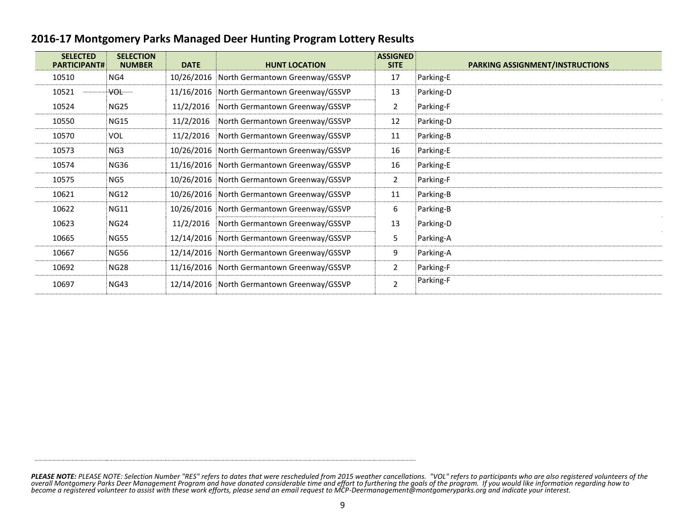|  | 2016-17 Montgomery Parks Managed Deer Hunting Program Lottery Results |
|--|-----------------------------------------------------------------------|
|--|-----------------------------------------------------------------------|

| <b>SELECTED</b><br><b>PARTICIPANT#</b> | <b>SELECTION</b><br><b>NUMBER</b> | <b>DATE</b> | <b>HUNT LOCATION</b>                       | <b>ASSIGNED</b><br><b>SITE</b> | <b>PARKING ASSIGNMENT/INSTRUCTIONS</b> |
|----------------------------------------|-----------------------------------|-------------|--------------------------------------------|--------------------------------|----------------------------------------|
| 10510                                  | NG4                               | 10/26/2016  | North Germantown Greenway/GSSVP            | 17                             | Parking-E                              |
| 10521                                  | VOL TIM                           | 11/16/2016  | North Germantown Greenway/GSSVP            | 13                             | Parking-D                              |
| 10524                                  | <b>NG25</b>                       | 11/2/2016   | North Germantown Greenway/GSSVP            | 2                              | Parking-F                              |
| 10550                                  | <b>NG15</b>                       | 11/2/2016   | North Germantown Greenway/GSSVP            | 12                             | Parking-D                              |
| 10570                                  | <b>VOL</b>                        | 11/2/2016   | North Germantown Greenway/GSSVP            | 11                             | Parking-B                              |
| 10573                                  | NG3                               | 10/26/2016  | North Germantown Greenway/GSSVP            | 16                             | Parking-E                              |
| 10574                                  | <b>NG36</b>                       | 11/16/2016  | North Germantown Greenway/GSSVP            | 16                             | Parking-E                              |
| 10575                                  | NG5                               | 10/26/2016  | North Germantown Greenway/GSSVP            | $\overline{2}$                 | Parking-F                              |
| 10621                                  | <b>NG12</b>                       | 10/26/2016  | North Germantown Greenway/GSSVP            | 11                             | Parking-B                              |
| 10622                                  | <b>NG11</b>                       | 10/26/2016  | North Germantown Greenway/GSSVP            | 6                              | Parking-B                              |
| 10623                                  | <b>NG24</b>                       | 11/2/2016   | North Germantown Greenway/GSSVP            | 13                             | Parking-D                              |
| 10665                                  | <b>NG55</b>                       | 12/14/2016  | North Germantown Greenway/GSSVP            | 5                              | Parking-A                              |
| 10667                                  | <b>NG56</b>                       | 12/14/2016  | North Germantown Greenway/GSSVP            | 9                              | Parking-A                              |
| 10692                                  | <b>NG28</b>                       | 11/16/2016  | North Germantown Greenway/GSSVP            | $\overline{2}$                 | Parking-F                              |
| 10697                                  | <b>NG43</b>                       |             | 12/14/2016 North Germantown Greenway/GSSVP | $\overline{2}$                 | Parking-F                              |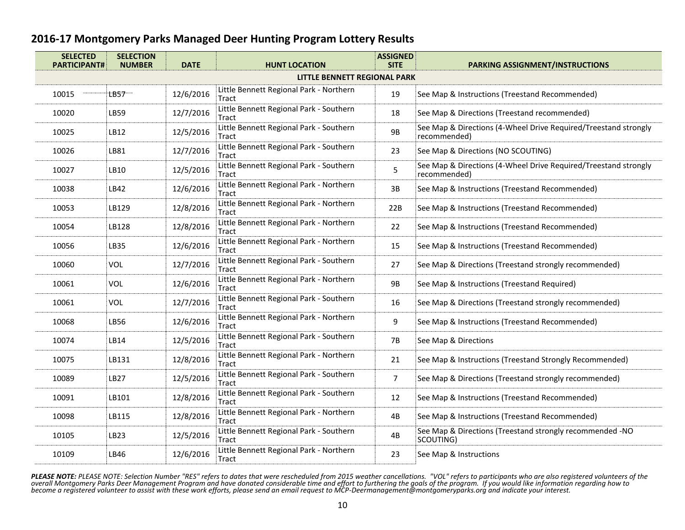| <b>SELECTED</b><br><b>PARTICIPANT#</b> | <b>SELECTION</b><br><b>NUMBER</b> | <b>DATE</b> | <b>HUNT LOCATION</b>                             | <b>ASSIGNED</b><br><b>SITE</b> | <b>PARKING ASSIGNMENT/INSTRUCTIONS</b>                                          |
|----------------------------------------|-----------------------------------|-------------|--------------------------------------------------|--------------------------------|---------------------------------------------------------------------------------|
|                                        |                                   |             |                                                  | LITTLE BENNETT REGIONAL PARK   |                                                                                 |
| 10015                                  | LB57                              | 12/6/2016   | Little Bennett Regional Park - Northern<br>Tract | 19                             | See Map & Instructions (Treestand Recommended)                                  |
| 10020                                  | LB59                              | 12/7/2016   | Little Bennett Regional Park - Southern<br>Tract | 18                             | See Map & Directions (Treestand recommended)                                    |
| 10025                                  | LB12                              | 12/5/2016   | Little Bennett Regional Park - Southern<br>Tract | <b>9B</b>                      | See Map & Directions (4-Wheel Drive Required/Treestand strongly<br>recommended) |
| 10026                                  | LB81                              | 12/7/2016   | Little Bennett Regional Park - Southern<br>Tract | 23                             | See Map & Directions (NO SCOUTING)                                              |
| 10027                                  | LB10                              | 12/5/2016   | Little Bennett Regional Park - Southern<br>Tract | 5                              | See Map & Directions (4-Wheel Drive Required/Treestand strongly<br>recommended) |
| 10038                                  | LB42                              | 12/6/2016   | Little Bennett Regional Park - Northern<br>Tract | 3B                             | See Map & Instructions (Treestand Recommended)                                  |
| 10053                                  | LB129                             | 12/8/2016   | Little Bennett Regional Park - Northern<br>Tract | 22B                            | See Map & Instructions (Treestand Recommended)                                  |
| 10054                                  | LB128                             | 12/8/2016   | Little Bennett Regional Park - Northern<br>Tract | 22                             | See Map & Instructions (Treestand Recommended)                                  |
| 10056                                  | LB35                              | 12/6/2016   | Little Bennett Regional Park - Northern<br>Tract | 15                             | See Map & Instructions (Treestand Recommended)                                  |
| 10060                                  | <b>VOL</b>                        | 12/7/2016   | Little Bennett Regional Park - Southern<br>Tract | 27                             | See Map & Directions (Treestand strongly recommended)                           |
| 10061                                  | <b>VOL</b>                        | 12/6/2016   | Little Bennett Regional Park - Northern<br>Tract | <b>9B</b>                      | See Map & Instructions (Treestand Required)                                     |
| 10061                                  | <b>VOL</b>                        | 12/7/2016   | Little Bennett Regional Park - Southern<br>Tract | 16                             | See Map & Directions (Treestand strongly recommended)                           |
| 10068                                  | LB56                              | 12/6/2016   | Little Bennett Regional Park - Northern<br>Tract | 9                              | See Map & Instructions (Treestand Recommended)                                  |
| 10074                                  | LB14                              | 12/5/2016   | Little Bennett Regional Park - Southern<br>Tract | <b>7B</b>                      | See Map & Directions                                                            |
| 10075                                  | LB131                             | 12/8/2016   | Little Bennett Regional Park - Northern<br>Tract | 21                             | See Map & Instructions (Treestand Strongly Recommended)                         |
| 10089                                  | LB27                              | 12/5/2016   | Little Bennett Regional Park - Southern<br>Tract | $\overline{7}$                 | See Map & Directions (Treestand strongly recommended)                           |
| 10091                                  | LB101                             | 12/8/2016   | Little Bennett Regional Park - Southern<br>Tract | 12                             | See Map & Instructions (Treestand Recommended)                                  |
| 10098                                  | LB115                             | 12/8/2016   | Little Bennett Regional Park - Northern<br>Tract | 4B                             | See Map & Instructions (Treestand Recommended)                                  |
| 10105                                  | LB23                              | 12/5/2016   | Little Bennett Regional Park - Southern<br>Tract | 4B                             | See Map & Directions (Treestand strongly recommended -NO<br>SCOUTING)           |
| 10109                                  | LB46                              | 12/6/2016   | Little Bennett Regional Park - Northern<br>Tract | 23                             | See Map & Instructions                                                          |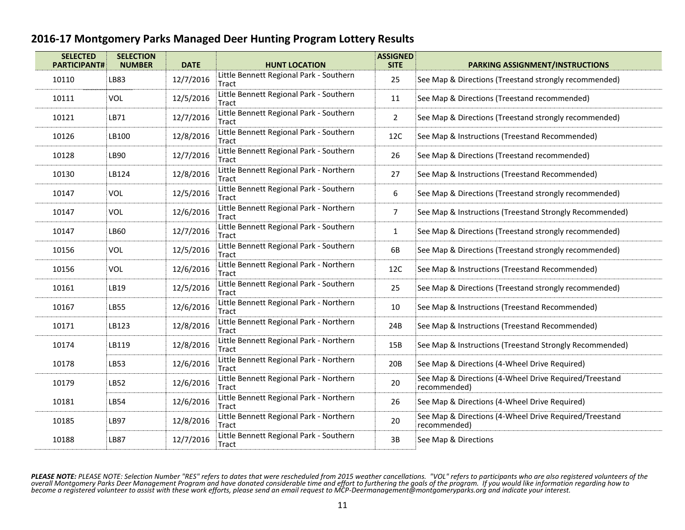| <b>SELECTED</b><br><b>PARTICIPANT#</b> | <b>SELECTION</b><br><b>NUMBER</b> | <b>DATE</b> | <b>HUNT LOCATION</b>                                    | <b>ASSIGNED</b><br><b>SITE</b> | PARKING ASSIGNMENT/INSTRUCTIONS                                        |
|----------------------------------------|-----------------------------------|-------------|---------------------------------------------------------|--------------------------------|------------------------------------------------------------------------|
| 10110                                  | LB83                              | 12/7/2016   | Little Bennett Regional Park - Southern<br>Tract        | 25                             | See Map & Directions (Treestand strongly recommended)                  |
| 10111                                  | VOL                               | 12/5/2016   | Little Bennett Regional Park - Southern<br>Tract        | 11                             | See Map & Directions (Treestand recommended)                           |
| 10121                                  | LB71                              | 12/7/2016   | Little Bennett Regional Park - Southern<br>Tract        | $\overline{2}$                 | See Map & Directions (Treestand strongly recommended)                  |
| 10126                                  | LB100                             | 12/8/2016   | Little Bennett Regional Park - Southern<br>Tract        | 12C                            | See Map & Instructions (Treestand Recommended)                         |
| 10128                                  | LB90                              | 12/7/2016   | Little Bennett Regional Park - Southern<br>Tract        | 26                             | See Map & Directions (Treestand recommended)                           |
| 10130                                  | LB124                             | 12/8/2016   | Little Bennett Regional Park - Northern<br>Tract        | 27                             | See Map & Instructions (Treestand Recommended)                         |
| 10147                                  | VOL                               | 12/5/2016   | Little Bennett Regional Park - Southern<br><b>Tract</b> | 6                              | See Map & Directions (Treestand strongly recommended)                  |
| 10147                                  | VOL                               | 12/6/2016   | Little Bennett Regional Park - Northern<br>Tract        | $\overline{7}$                 | See Map & Instructions (Treestand Strongly Recommended)                |
| 10147                                  | LB60                              | 12/7/2016   | Little Bennett Regional Park - Southern<br><b>Tract</b> | $\mathbf 1$                    | See Map & Directions (Treestand strongly recommended)                  |
| 10156                                  | VOL                               | 12/5/2016   | Little Bennett Regional Park - Southern<br>Tract        | 6B                             | See Map & Directions (Treestand strongly recommended)                  |
| 10156                                  | VOL                               | 12/6/2016   | Little Bennett Regional Park - Northern<br>Tract        | 12C                            | See Map & Instructions (Treestand Recommended)                         |
| 10161                                  | LB19                              | 12/5/2016   | Little Bennett Regional Park - Southern<br>Tract        | 25                             | See Map & Directions (Treestand strongly recommended)                  |
| 10167                                  | LB55                              | 12/6/2016   | Little Bennett Regional Park - Northern<br>Tract        | 10                             | See Map & Instructions (Treestand Recommended)                         |
| 10171                                  | LB123                             | 12/8/2016   | Little Bennett Regional Park - Northern<br>Tract        | 24B                            | See Map & Instructions (Treestand Recommended)                         |
| 10174                                  | LB119                             | 12/8/2016   | Little Bennett Regional Park - Northern<br>Tract        | 15B                            | See Map & Instructions (Treestand Strongly Recommended)                |
| 10178                                  | LB53                              | 12/6/2016   | Little Bennett Regional Park - Northern<br>Tract        | 20B                            | See Map & Directions (4-Wheel Drive Required)                          |
| 10179                                  | LB52                              | 12/6/2016   | Little Bennett Regional Park - Northern<br>Tract        | 20                             | See Map & Directions (4-Wheel Drive Required/Treestand<br>recommended) |
| 10181                                  | LB54                              | 12/6/2016   | Little Bennett Regional Park - Northern<br>Tract        | 26                             | See Map & Directions (4-Wheel Drive Required)                          |
| 10185                                  | LB97                              | 12/8/2016   | Little Bennett Regional Park - Northern<br>Tract        | 20                             | See Map & Directions (4-Wheel Drive Required/Treestand<br>recommended) |
| 10188                                  | <b>LB87</b>                       | 12/7/2016   | Little Bennett Regional Park - Southern<br>Tract        | 3B                             | See Map & Directions                                                   |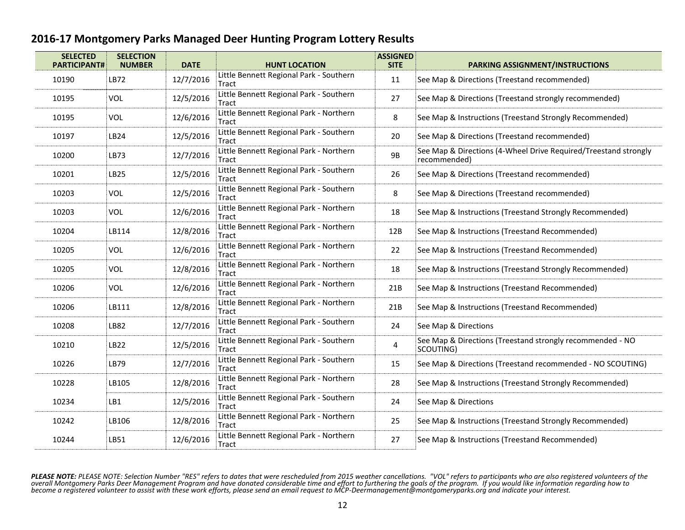| <b>SELECTED</b><br><b>SELECTION</b><br><b>PARTICIPANT#</b><br><b>NUMBER</b> |            | <b>DATE</b> | <b>HUNT LOCATION</b>                                    |     | <b>ASSIGNED</b><br><b>PARKING ASSIGNMENT/INSTRUCTIONS</b>                       |  |  |
|-----------------------------------------------------------------------------|------------|-------------|---------------------------------------------------------|-----|---------------------------------------------------------------------------------|--|--|
| 10190                                                                       | LB72       | 12/7/2016   | Little Bennett Regional Park - Southern<br>Tract        |     | See Map & Directions (Treestand recommended)                                    |  |  |
| 10195                                                                       | VOL        | 12/5/2016   | Little Bennett Regional Park - Southern<br>Tract        | 27  | See Map & Directions (Treestand strongly recommended)                           |  |  |
| 10195                                                                       | VOL        | 12/6/2016   | Little Bennett Regional Park - Northern<br>Tract        | 8   | See Map & Instructions (Treestand Strongly Recommended)                         |  |  |
| 10197                                                                       | LB24       | 12/5/2016   | Little Bennett Regional Park - Southern<br>Tract        | 20  | See Map & Directions (Treestand recommended)                                    |  |  |
| 10200                                                                       | LB73       | 12/7/2016   | Little Bennett Regional Park - Northern<br>9B<br>Tract  |     | See Map & Directions (4-Wheel Drive Required/Treestand strongly<br>recommended) |  |  |
| 10201                                                                       | LB25       | 12/5/2016   | Little Bennett Regional Park - Southern<br>Tract        | 26  | See Map & Directions (Treestand recommended)                                    |  |  |
| 10203                                                                       | VOL        | 12/5/2016   | Little Bennett Regional Park - Southern<br>Tract        | 8   | See Map & Directions (Treestand recommended)                                    |  |  |
| 10203                                                                       | <b>VOL</b> | 12/6/2016   | Little Bennett Regional Park - Northern<br>Tract        | 18  | See Map & Instructions (Treestand Strongly Recommended)                         |  |  |
| 10204                                                                       | LB114      | 12/8/2016   | Little Bennett Regional Park - Northern<br>12B<br>Tract |     | See Map & Instructions (Treestand Recommended)                                  |  |  |
| 10205                                                                       | VOL        | 12/6/2016   | Little Bennett Regional Park - Northern<br>Tract        | 22  | See Map & Instructions (Treestand Recommended)                                  |  |  |
| 10205                                                                       | VOL        | 12/8/2016   | Little Bennett Regional Park - Northern<br>18<br>Tract  |     | See Map & Instructions (Treestand Strongly Recommended)                         |  |  |
| 10206                                                                       | VOL        | 12/6/2016   | Little Bennett Regional Park - Northern<br>Tract        | 21B | See Map & Instructions (Treestand Recommended)                                  |  |  |
| 10206                                                                       | LB111      | 12/8/2016   | Little Bennett Regional Park - Northern<br>Tract        | 21B | See Map & Instructions (Treestand Recommended)                                  |  |  |
| 10208                                                                       | LB82       | 12/7/2016   | Little Bennett Regional Park - Southern<br>Tract        | 24  | See Map & Directions                                                            |  |  |
| 10210                                                                       | LB22       | 12/5/2016   | Little Bennett Regional Park - Southern<br>Tract        | 4   | See Map & Directions (Treestand strongly recommended - NO<br>SCOUTING)          |  |  |
| 10226                                                                       | LB79       | 12/7/2016   | Little Bennett Regional Park - Southern<br>Tract        | 15  | See Map & Directions (Treestand recommended - NO SCOUTING)                      |  |  |
| 10228                                                                       | LB105      | 12/8/2016   | Little Bennett Regional Park - Northern<br>Tract        | 28  | See Map & Instructions (Treestand Strongly Recommended)                         |  |  |
| 10234                                                                       | LB1        | 12/5/2016   | Little Bennett Regional Park - Southern<br>Tract        | 24  | See Map & Directions                                                            |  |  |
| 10242                                                                       | LB106      | 12/8/2016   | Little Bennett Regional Park - Northern<br>Tract        | 25  | See Map & Instructions (Treestand Strongly Recommended)                         |  |  |
| 10244                                                                       | LB51       | 12/6/2016   | Little Bennett Regional Park - Northern<br>Tract        | 27  | See Map & Instructions (Treestand Recommended)                                  |  |  |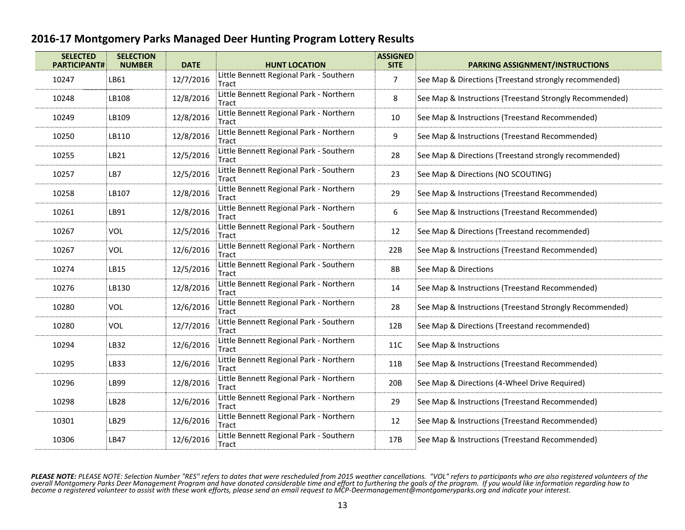| <b>SELECTED</b> | <b>SELECTION</b><br><b>PARTICIPANT#</b><br><b>NUMBER</b><br><b>DATE</b> |           | <b>HUNT LOCATION</b>                             | <b>ASSIGNED</b><br><b>SITE</b> | <b>PARKING ASSIGNMENT/INSTRUCTIONS</b>                  |  |  |
|-----------------|-------------------------------------------------------------------------|-----------|--------------------------------------------------|--------------------------------|---------------------------------------------------------|--|--|
| 10247           | LB61                                                                    | 12/7/2016 | Little Bennett Regional Park - Southern<br>Tract | $\overline{7}$                 | See Map & Directions (Treestand strongly recommended)   |  |  |
| 10248           | LB108                                                                   | 12/8/2016 | Little Bennett Regional Park - Northern<br>Tract | 8                              | See Map & Instructions (Treestand Strongly Recommended) |  |  |
| 10249           | LB109                                                                   | 12/8/2016 | Little Bennett Regional Park - Northern<br>Tract | 10                             | See Map & Instructions (Treestand Recommended)          |  |  |
| 10250           | LB110                                                                   | 12/8/2016 | Little Bennett Regional Park - Northern<br>Tract | 9                              | See Map & Instructions (Treestand Recommended)          |  |  |
| 10255           | LB21                                                                    | 12/5/2016 | Little Bennett Regional Park - Southern<br>Tract | 28                             | See Map & Directions (Treestand strongly recommended)   |  |  |
| 10257           | LB7                                                                     | 12/5/2016 | Little Bennett Regional Park - Southern<br>Tract | 23                             | See Map & Directions (NO SCOUTING)                      |  |  |
| 10258           | LB107                                                                   | 12/8/2016 | Little Bennett Regional Park - Northern<br>Tract | 29                             | See Map & Instructions (Treestand Recommended)          |  |  |
| 10261           | LB91                                                                    | 12/8/2016 | Little Bennett Regional Park - Northern<br>Tract | 6                              | See Map & Instructions (Treestand Recommended)          |  |  |
| 10267           | VOL                                                                     | 12/5/2016 | Little Bennett Regional Park - Southern<br>Tract | 12                             | See Map & Directions (Treestand recommended)            |  |  |
| 10267           | VOL                                                                     | 12/6/2016 | Little Bennett Regional Park - Northern<br>Tract | 22B                            | See Map & Instructions (Treestand Recommended)          |  |  |
| 10274           | LB15                                                                    | 12/5/2016 | Little Bennett Regional Park - Southern<br>Tract | <b>8B</b>                      | See Map & Directions                                    |  |  |
| 10276           | LB130                                                                   | 12/8/2016 | Little Bennett Regional Park - Northern<br>Tract | 14                             | See Map & Instructions (Treestand Recommended)          |  |  |
| 10280           | VOL                                                                     | 12/6/2016 | Little Bennett Regional Park - Northern<br>Tract | 28                             | See Map & Instructions (Treestand Strongly Recommended) |  |  |
| 10280           | VOL                                                                     | 12/7/2016 | Little Bennett Regional Park - Southern<br>Tract | 12B                            | See Map & Directions (Treestand recommended)            |  |  |
| 10294           | LB32                                                                    | 12/6/2016 | Little Bennett Regional Park - Northern<br>Tract | 11C                            | See Map & Instructions                                  |  |  |
| 10295           | LB33                                                                    | 12/6/2016 | Little Bennett Regional Park - Northern<br>Tract | 11B                            | See Map & Instructions (Treestand Recommended)          |  |  |
| 10296           | LB99                                                                    | 12/8/2016 | Little Bennett Regional Park - Northern<br>Tract | 20B                            | See Map & Directions (4-Wheel Drive Required)           |  |  |
| 10298           | LB28                                                                    | 12/6/2016 | Little Bennett Regional Park - Northern<br>Tract | 29                             | See Map & Instructions (Treestand Recommended)          |  |  |
| 10301           | LB29                                                                    | 12/6/2016 | Little Bennett Regional Park - Northern<br>Tract | 12                             | See Map & Instructions (Treestand Recommended)          |  |  |
| 10306           | <b>LB47</b>                                                             | 12/6/2016 | Little Bennett Regional Park - Southern<br>Tract | 17B                            | See Map & Instructions (Treestand Recommended)          |  |  |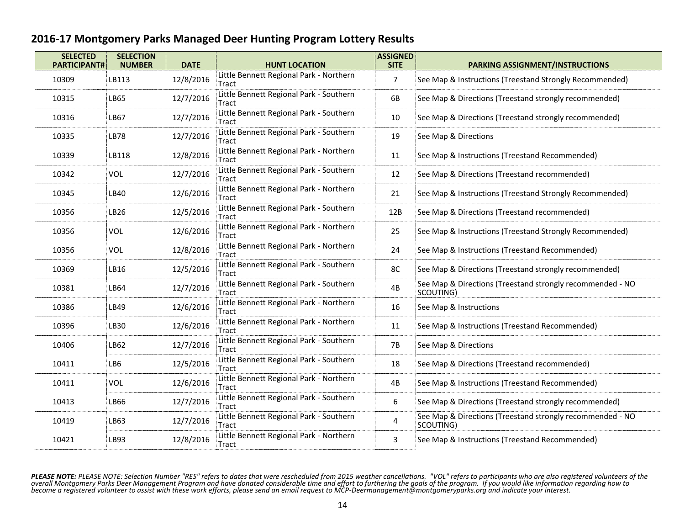| <b>SELECTED</b><br><b>SELECTION</b><br><b>PARTICIPANT#</b><br><b>NUMBER</b> |             | <b>DATE</b> | <b>HUNT LOCATION</b>                             | <b>ASSIGNED</b><br><b>SITE</b> | <b>PARKING ASSIGNMENT/INSTRUCTIONS</b>                                 |  |  |  |
|-----------------------------------------------------------------------------|-------------|-------------|--------------------------------------------------|--------------------------------|------------------------------------------------------------------------|--|--|--|
| 10309                                                                       | LB113       | 12/8/2016   | Little Bennett Regional Park - Northern<br>Tract | $\overline{7}$                 | See Map & Instructions (Treestand Strongly Recommended)                |  |  |  |
| 10315                                                                       | LB65        | 12/7/2016   | Little Bennett Regional Park - Southern<br>Tract | 6B                             | See Map & Directions (Treestand strongly recommended)                  |  |  |  |
| 10316                                                                       | LB67        | 12/7/2016   | Little Bennett Regional Park - Southern<br>Tract | 10                             | See Map & Directions (Treestand strongly recommended)                  |  |  |  |
| 10335                                                                       | <b>LB78</b> | 12/7/2016   | Little Bennett Regional Park - Southern<br>Tract | 19                             | See Map & Directions                                                   |  |  |  |
| 10339                                                                       | LB118       | 12/8/2016   | Little Bennett Regional Park - Northern<br>Tract | 11                             | See Map & Instructions (Treestand Recommended)                         |  |  |  |
| 10342                                                                       | VOL         | 12/7/2016   | Little Bennett Regional Park - Southern<br>Tract | 12                             | See Map & Directions (Treestand recommended)                           |  |  |  |
| 10345                                                                       | LB40        | 12/6/2016   | Little Bennett Regional Park - Northern<br>Tract | 21                             | See Map & Instructions (Treestand Strongly Recommended)                |  |  |  |
| 10356                                                                       | LB26        | 12/5/2016   | Little Bennett Regional Park - Southern<br>Tract | 12B                            | See Map & Directions (Treestand recommended)                           |  |  |  |
| 10356                                                                       | VOL         | 12/6/2016   | Little Bennett Regional Park - Northern<br>Tract | 25                             | See Map & Instructions (Treestand Strongly Recommended)                |  |  |  |
| 10356                                                                       | VOL         | 12/8/2016   | Little Bennett Regional Park - Northern<br>Tract | 24                             | See Map & Instructions (Treestand Recommended)                         |  |  |  |
| 10369                                                                       | LB16        | 12/5/2016   | Little Bennett Regional Park - Southern<br>Tract | 8C                             | See Map & Directions (Treestand strongly recommended)                  |  |  |  |
| 10381                                                                       | LB64        | 12/7/2016   | Little Bennett Regional Park - Southern<br>Tract | 4B                             | See Map & Directions (Treestand strongly recommended - NO<br>SCOUTING) |  |  |  |
| 10386                                                                       | LB49        | 12/6/2016   | Little Bennett Regional Park - Northern<br>Tract | 16                             | See Map & Instructions                                                 |  |  |  |
| 10396                                                                       | LB30        | 12/6/2016   | Little Bennett Regional Park - Northern<br>Tract | 11                             | See Map & Instructions (Treestand Recommended)                         |  |  |  |
| 10406                                                                       | LB62        | 12/7/2016   | Little Bennett Regional Park - Southern<br>Tract | <b>7B</b>                      | See Map & Directions                                                   |  |  |  |
| 10411                                                                       | LB6         | 12/5/2016   | Little Bennett Regional Park - Southern<br>Tract | 18                             | See Map & Directions (Treestand recommended)                           |  |  |  |
| 10411                                                                       | VOL         | 12/6/2016   | Little Bennett Regional Park - Northern<br>Tract | 4B                             | See Map & Instructions (Treestand Recommended)                         |  |  |  |
| 10413                                                                       | LB66        | 12/7/2016   | Little Bennett Regional Park - Southern<br>Tract | 6                              | See Map & Directions (Treestand strongly recommended)                  |  |  |  |
| 10419                                                                       | LB63        | 12/7/2016   | Little Bennett Regional Park - Southern<br>Tract | 4                              | See Map & Directions (Treestand strongly recommended - NO<br>SCOUTING) |  |  |  |
| 10421                                                                       | LB93        | 12/8/2016   | Little Bennett Regional Park - Northern<br>Tract | 3                              | See Map & Instructions (Treestand Recommended)                         |  |  |  |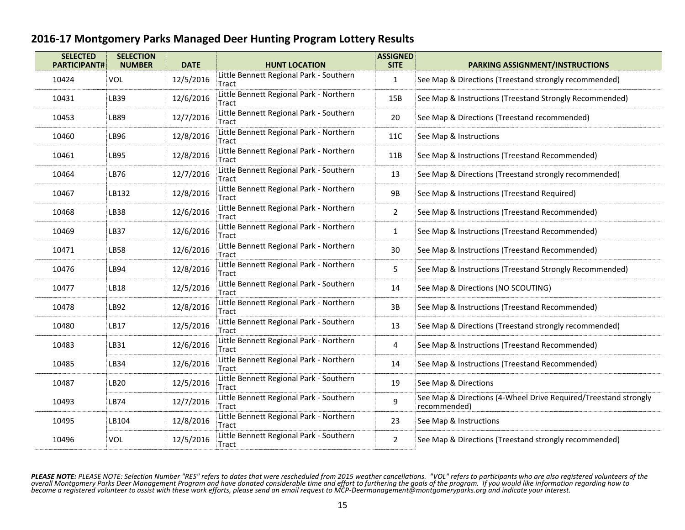| <b>SELECTED</b><br><b>PARTICIPANT#</b> | <b>SELECTION</b><br><b>NUMBER</b> | <b>DATE</b> | <b>ASSIGNED</b><br><b>HUNT LOCATION</b><br><b>SITE</b>  |                 | PARKING ASSIGNMENT/INSTRUCTIONS                                                 |  |
|----------------------------------------|-----------------------------------|-------------|---------------------------------------------------------|-----------------|---------------------------------------------------------------------------------|--|
| 10424                                  | <b>VOL</b>                        | 12/5/2016   | Little Bennett Regional Park - Southern<br>Tract        | $\mathbf{1}$    | See Map & Directions (Treestand strongly recommended)                           |  |
| 10431                                  | LB39                              | 12/6/2016   | Little Bennett Regional Park - Northern<br>Tract        | 15B             | See Map & Instructions (Treestand Strongly Recommended)                         |  |
| 10453                                  | LB89                              | 12/7/2016   | Little Bennett Regional Park - Southern<br>Tract        | 20              | See Map & Directions (Treestand recommended)                                    |  |
| 10460                                  | LB96                              | 12/8/2016   | Little Bennett Regional Park - Northern<br><b>Tract</b> | 11C             | See Map & Instructions                                                          |  |
| 10461                                  | LB95                              | 12/8/2016   | Little Bennett Regional Park - Northern<br>Tract        | 11B             | See Map & Instructions (Treestand Recommended)                                  |  |
| 10464                                  | LB76                              | 12/7/2016   | Little Bennett Regional Park - Southern<br>13<br>Tract  |                 | See Map & Directions (Treestand strongly recommended)                           |  |
| 10467                                  | LB132                             | 12/8/2016   | Little Bennett Regional Park - Northern<br>Tract        | 9B              | See Map & Instructions (Treestand Required)                                     |  |
| 10468                                  | LB38                              | 12/6/2016   | Little Bennett Regional Park - Northern<br>Tract        | $\overline{2}$  | See Map & Instructions (Treestand Recommended)                                  |  |
| 10469                                  | LB37                              | 12/6/2016   | Little Bennett Regional Park - Northern<br>Tract        | $\mathbf{1}$    | See Map & Instructions (Treestand Recommended)                                  |  |
| 10471                                  | LB58                              | 12/6/2016   | Little Bennett Regional Park - Northern<br>Tract        | 30              | See Map & Instructions (Treestand Recommended)                                  |  |
| 10476                                  | LB94                              | 12/8/2016   | Little Bennett Regional Park - Northern<br>Tract        | 5               | See Map & Instructions (Treestand Strongly Recommended)                         |  |
| 10477                                  | LB18                              | 12/5/2016   | Little Bennett Regional Park - Southern<br>Tract        | 14              | See Map & Directions (NO SCOUTING)                                              |  |
| 10478                                  | LB92                              | 12/8/2016   | Little Bennett Regional Park - Northern<br>Tract        | $3\,\mathrm{B}$ | See Map & Instructions (Treestand Recommended)                                  |  |
| 10480                                  | LB17                              | 12/5/2016   | Little Bennett Regional Park - Southern<br>Tract        | 13              | See Map & Directions (Treestand strongly recommended)                           |  |
| 10483                                  | LB31                              | 12/6/2016   | Little Bennett Regional Park - Northern<br>Tract        | 4               | See Map & Instructions (Treestand Recommended)                                  |  |
| 10485                                  | LB34                              | 12/6/2016   | Little Bennett Regional Park - Northern<br>Tract        | 14              | See Map & Instructions (Treestand Recommended)                                  |  |
| 10487                                  | LB20                              | 12/5/2016   | Little Bennett Regional Park - Southern<br>Tract        | 19              | See Map & Directions                                                            |  |
| 10493                                  | LB74                              | 12/7/2016   | Little Bennett Regional Park - Southern<br>Tract        | 9               | See Map & Directions (4-Wheel Drive Required/Treestand strongly<br>recommended) |  |
| 10495                                  | LB104                             | 12/8/2016   | Little Bennett Regional Park - Northern<br>Tract        | 23              | See Map & Instructions                                                          |  |
| 10496                                  | <b>VOL</b>                        | 12/5/2016   | Little Bennett Regional Park - Southern<br>Tract        | $\overline{2}$  | See Map & Directions (Treestand strongly recommended)                           |  |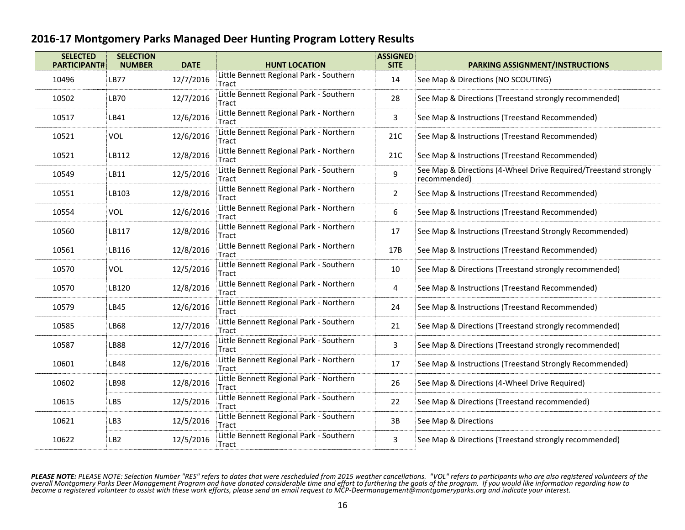| <b>SELECTED</b> | <b>SELECTION</b><br><b>PARTICIPANT#</b><br><b>NUMBER</b><br><b>DATE</b> |           | <b>HUNT LOCATION</b>                             | <b>ASSIGNED</b><br><b>SITE</b> | <b>PARKING ASSIGNMENT/INSTRUCTIONS</b>                                          |  |  |
|-----------------|-------------------------------------------------------------------------|-----------|--------------------------------------------------|--------------------------------|---------------------------------------------------------------------------------|--|--|
| 10496           | <b>LB77</b>                                                             | 12/7/2016 | Little Bennett Regional Park - Southern<br>Tract | 14                             | See Map & Directions (NO SCOUTING)                                              |  |  |
| 10502           | LB70                                                                    | 12/7/2016 | Little Bennett Regional Park - Southern<br>Tract | 28                             | See Map & Directions (Treestand strongly recommended)                           |  |  |
| 10517           | LB41                                                                    | 12/6/2016 | Little Bennett Regional Park - Northern<br>Tract | 3                              | See Map & Instructions (Treestand Recommended)                                  |  |  |
| 10521           | VOL                                                                     | 12/6/2016 | Little Bennett Regional Park - Northern<br>Tract | 21C                            | See Map & Instructions (Treestand Recommended)                                  |  |  |
| 10521           | LB112                                                                   | 12/8/2016 | Little Bennett Regional Park - Northern<br>Tract | 21C                            | See Map & Instructions (Treestand Recommended)                                  |  |  |
| 10549           | LB11                                                                    | 12/5/2016 | Little Bennett Regional Park - Southern<br>Tract | 9                              | See Map & Directions (4-Wheel Drive Required/Treestand strongly<br>recommended) |  |  |
| 10551           | LB103                                                                   | 12/8/2016 | Little Bennett Regional Park - Northern<br>Tract | $\overline{2}$                 | See Map & Instructions (Treestand Recommended)                                  |  |  |
| 10554           | VOL                                                                     | 12/6/2016 | Little Bennett Regional Park - Northern<br>Tract | 6                              | See Map & Instructions (Treestand Recommended)                                  |  |  |
| 10560           | LB117                                                                   | 12/8/2016 | Little Bennett Regional Park - Northern<br>Tract | 17                             | See Map & Instructions (Treestand Strongly Recommended)                         |  |  |
| 10561           | LB116                                                                   | 12/8/2016 | Little Bennett Regional Park - Northern<br>Tract | 17B                            | See Map & Instructions (Treestand Recommended)                                  |  |  |
| 10570           | VOL                                                                     | 12/5/2016 | Little Bennett Regional Park - Southern<br>Tract | 10                             | See Map & Directions (Treestand strongly recommended)                           |  |  |
| 10570           | LB120                                                                   | 12/8/2016 | Little Bennett Regional Park - Northern<br>Tract | 4                              | See Map & Instructions (Treestand Recommended)                                  |  |  |
| 10579           | LB45                                                                    | 12/6/2016 | Little Bennett Regional Park - Northern<br>Tract | 24                             | See Map & Instructions (Treestand Recommended)                                  |  |  |
| 10585           | LB68                                                                    | 12/7/2016 | Little Bennett Regional Park - Southern<br>Tract | 21                             | See Map & Directions (Treestand strongly recommended)                           |  |  |
| 10587           | LB88                                                                    | 12/7/2016 | Little Bennett Regional Park - Southern<br>Tract | 3                              | See Map & Directions (Treestand strongly recommended)                           |  |  |
| 10601           | LB48                                                                    | 12/6/2016 | Little Bennett Regional Park - Northern<br>Tract | 17                             | See Map & Instructions (Treestand Strongly Recommended)                         |  |  |
| 10602           | LB98                                                                    | 12/8/2016 | Little Bennett Regional Park - Northern<br>Tract | 26                             | See Map & Directions (4-Wheel Drive Required)                                   |  |  |
| 10615           | LB5                                                                     | 12/5/2016 | Little Bennett Regional Park - Southern<br>Tract | 22                             | See Map & Directions (Treestand recommended)                                    |  |  |
| 10621           | LB3                                                                     | 12/5/2016 | Little Bennett Regional Park - Southern<br>Tract | 3B                             | See Map & Directions                                                            |  |  |
| 10622           | LB <sub>2</sub>                                                         | 12/5/2016 | Little Bennett Regional Park - Southern<br>Tract | 3                              | See Map & Directions (Treestand strongly recommended)                           |  |  |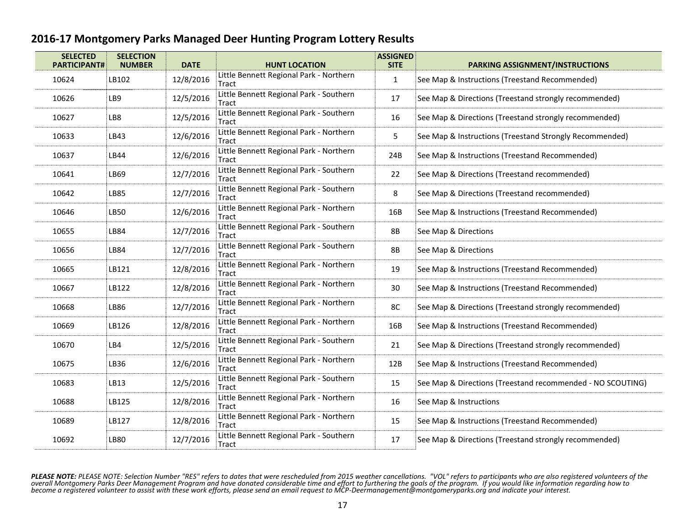| <b>SELECTED</b><br><b>SELECTION</b><br><b>PARTICIPANT#</b><br><b>NUMBER</b> |       | <b>DATE</b> | <b>ASSIGNED</b><br><b>HUNT LOCATION</b><br><b>SITE</b>           |     | <b>PARKING ASSIGNMENT/INSTRUCTIONS</b>                     |  |  |
|-----------------------------------------------------------------------------|-------|-------------|------------------------------------------------------------------|-----|------------------------------------------------------------|--|--|
| 10624                                                                       | LB102 | 12/8/2016   | Little Bennett Regional Park - Northern<br>$\mathbf{1}$<br>Tract |     | See Map & Instructions (Treestand Recommended)             |  |  |
| 10626                                                                       | LB9   | 12/5/2016   | Little Bennett Regional Park - Southern<br>Tract                 | 17  | See Map & Directions (Treestand strongly recommended)      |  |  |
| 10627                                                                       | LB8   | 12/5/2016   | Little Bennett Regional Park - Southern<br>Tract                 | 16  | See Map & Directions (Treestand strongly recommended)      |  |  |
| 10633                                                                       | LB43  | 12/6/2016   | Little Bennett Regional Park - Northern<br>Tract                 | 5   | See Map & Instructions (Treestand Strongly Recommended)    |  |  |
| 10637                                                                       | LB44  | 12/6/2016   | Little Bennett Regional Park - Northern<br>Tract                 | 24B | See Map & Instructions (Treestand Recommended)             |  |  |
| 10641                                                                       | LB69  | 12/7/2016   | Little Bennett Regional Park - Southern<br>Tract                 | 22  | See Map & Directions (Treestand recommended)               |  |  |
| 10642                                                                       | LB85  | 12/7/2016   | Little Bennett Regional Park - Southern<br>Tract                 | 8   | See Map & Directions (Treestand recommended)               |  |  |
| 10646                                                                       | LB50  | 12/6/2016   | Little Bennett Regional Park - Northern<br>Tract                 | 16B | See Map & Instructions (Treestand Recommended)             |  |  |
| 10655                                                                       | LB84  | 12/7/2016   | Little Bennett Regional Park - Southern<br>8B<br>Tract           |     | See Map & Directions                                       |  |  |
| 10656                                                                       | LB84  | 12/7/2016   | Little Bennett Regional Park - Southern<br>Tract                 | 8B  | See Map & Directions                                       |  |  |
| 10665                                                                       | LB121 | 12/8/2016   | Little Bennett Regional Park - Northern<br>Tract                 |     | See Map & Instructions (Treestand Recommended)             |  |  |
| 10667                                                                       | LB122 | 12/8/2016   | Little Bennett Regional Park - Northern<br>Tract                 | 30  | See Map & Instructions (Treestand Recommended)             |  |  |
| 10668                                                                       | LB86  | 12/7/2016   | Little Bennett Regional Park - Northern<br>Tract                 | 8C  | See Map & Directions (Treestand strongly recommended)      |  |  |
| 10669                                                                       | LB126 | 12/8/2016   | Little Bennett Regional Park - Northern<br>Tract                 | 16B | See Map & Instructions (Treestand Recommended)             |  |  |
| 10670                                                                       | LB4   | 12/5/2016   | Little Bennett Regional Park - Southern<br>Tract                 | 21  | See Map & Directions (Treestand strongly recommended)      |  |  |
| 10675                                                                       | LB36  | 12/6/2016   | Little Bennett Regional Park - Northern<br>Tract                 | 12B | See Map & Instructions (Treestand Recommended)             |  |  |
| 10683                                                                       | LB13  | 12/5/2016   | Little Bennett Regional Park - Southern<br>Tract                 | 15  | See Map & Directions (Treestand recommended - NO SCOUTING) |  |  |
| 10688                                                                       | LB125 | 12/8/2016   | Little Bennett Regional Park - Northern<br>Tract                 | 16  | See Map & Instructions                                     |  |  |
| 10689                                                                       | LB127 | 12/8/2016   | Little Bennett Regional Park - Northern<br>Tract                 | 15  | See Map & Instructions (Treestand Recommended)             |  |  |
| 10692                                                                       | LB80  | 12/7/2016   | Little Bennett Regional Park - Southern<br>Tract                 | 17  | See Map & Directions (Treestand strongly recommended)      |  |  |